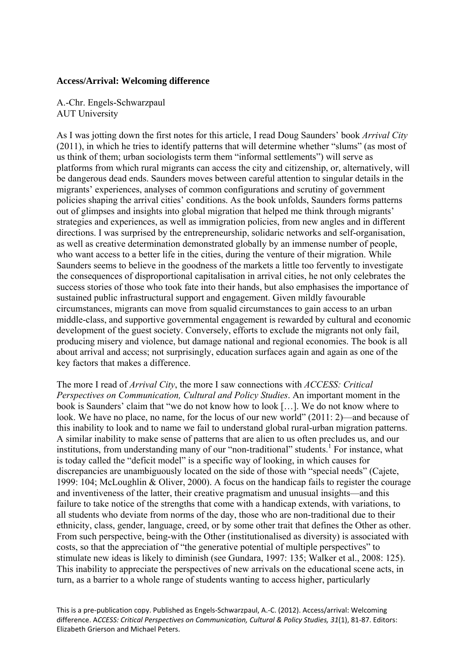## **Access/Arrival: Welcoming difference**

A.-Chr. Engels-Schwarzpaul AUT University

As I was jotting down the first notes for this article, I read Doug Saunders' book *Arrival City*  (2011), in which he tries to identify patterns that will determine whether "slums" (as most of us think of them; urban sociologists term them "informal settlements") will serve as platforms from which rural migrants can access the city and citizenship, or, alternatively, will be dangerous dead ends. Saunders moves between careful attention to singular details in the migrants' experiences, analyses of common configurations and scrutiny of government policies shaping the arrival cities' conditions. As the book unfolds, Saunders forms patterns out of glimpses and insights into global migration that helped me think through migrants' strategies and experiences, as well as immigration policies, from new angles and in different directions. I was surprised by the entrepreneurship, solidaric networks and self-organisation, as well as creative determination demonstrated globally by an immense number of people, who want access to a better life in the cities, during the venture of their migration. While Saunders seems to believe in the goodness of the markets a little too fervently to investigate the consequences of disproportional capitalisation in arrival cities, he not only celebrates the success stories of those who took fate into their hands, but also emphasises the importance of sustained public infrastructural support and engagement. Given mildly favourable circumstances, migrants can move from squalid circumstances to gain access to an urban middle-class, and supportive governmental engagement is rewarded by cultural and economic development of the guest society. Conversely, efforts to exclude the migrants not only fail, producing misery and violence, but damage national and regional economies. The book is all about arrival and access; not surprisingly, education surfaces again and again as one of the key factors that makes a difference.

The more I read of *Arrival City*, the more I saw connections with *ACCESS: Critical Perspectives on Communication, Cultural and Policy Studies*. An important moment in the book is Saunders' claim that "we do not know how to look […]. We do not know where to look. We have no place, no name, for the locus of our new world" (2011: 2)—and because of this inability to look and to name we fail to understand global rural-urban migration patterns. A similar inability to make sense of patterns that are alien to us often precludes us, and our institutions, from understanding many of our "non-traditional" students.<sup>1</sup> For instance, what is today called the "deficit model" is a specific way of looking, in which causes for discrepancies are unambiguously located on the side of those with "special needs" (Cajete, 1999: 104; McLoughlin & Oliver, 2000). A focus on the handicap fails to register the courage and inventiveness of the latter, their creative pragmatism and unusual insights—and this failure to take notice of the strengths that come with a handicap extends, with variations, to all students who deviate from norms of the day, those who are non-traditional due to their ethnicity, class, gender, language, creed, or by some other trait that defines the Other as other. From such perspective, being-with the Other (institutionalised as diversity) is associated with costs, so that the appreciation of "the generative potential of multiple perspectives" to stimulate new ideas is likely to diminish (see Gundara, 1997: 135; Walker et al., 2008: 125). This inability to appreciate the perspectives of new arrivals on the educational scene acts, in turn, as a barrier to a whole range of students wanting to access higher, particularly

This is a pre‐publication copy. Published as Engels‐Schwarzpaul, A.‐C. (2012). Access/arrival: Welcoming difference. A*CCESS: Critical Perspectives on Communication, Cultural & Policy Studies, 31*(1), 81‐87. Editors: Elizabeth Grierson and Michael Peters.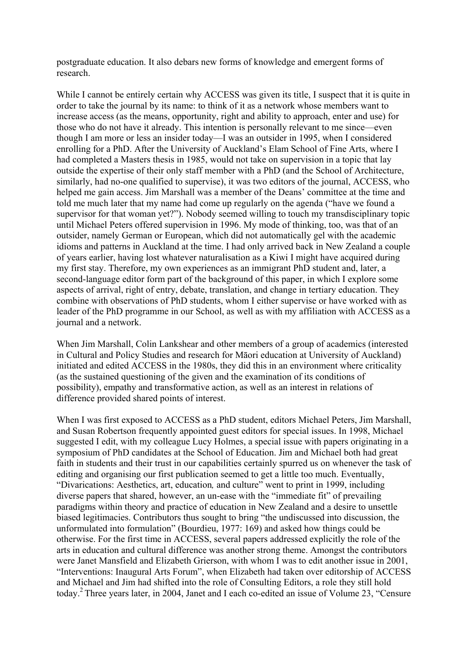postgraduate education. It also debars new forms of knowledge and emergent forms of research.

While I cannot be entirely certain why ACCESS was given its title, I suspect that it is quite in order to take the journal by its name: to think of it as a network whose members want to increase access (as the means, opportunity, right and ability to approach, enter and use) for those who do not have it already. This intention is personally relevant to me since—even though I am more or less an insider today—I was an outsider in 1995, when I considered enrolling for a PhD. After the University of Auckland's Elam School of Fine Arts, where I had completed a Masters thesis in 1985, would not take on supervision in a topic that lay outside the expertise of their only staff member with a PhD (and the School of Architecture, similarly, had no-one qualified to supervise), it was two editors of the journal, ACCESS, who helped me gain access. Jim Marshall was a member of the Deans' committee at the time and told me much later that my name had come up regularly on the agenda ("have we found a supervisor for that woman yet?"). Nobody seemed willing to touch my transdisciplinary topic until Michael Peters offered supervision in 1996. My mode of thinking, too, was that of an outsider, namely German or European, which did not automatically gel with the academic idioms and patterns in Auckland at the time. I had only arrived back in New Zealand a couple of years earlier, having lost whatever naturalisation as a Kiwi I might have acquired during my first stay. Therefore, my own experiences as an immigrant PhD student and, later, a second-language editor form part of the background of this paper, in which I explore some aspects of arrival, right of entry, debate, translation, and change in tertiary education. They combine with observations of PhD students, whom I either supervise or have worked with as leader of the PhD programme in our School, as well as with my affiliation with ACCESS as a journal and a network.

When Jim Marshall, Colin Lankshear and other members of a group of academics (interested in Cultural and Policy Studies and research for Māori education at University of Auckland) initiated and edited ACCESS in the 1980s, they did this in an environment where criticality (as the sustained questioning of the given and the examination of its conditions of possibility), empathy and transformative action, as well as an interest in relations of difference provided shared points of interest.

When I was first exposed to ACCESS as a PhD student, editors Michael Peters, Jim Marshall, and Susan Robertson frequently appointed guest editors for special issues. In 1998, Michael suggested I edit, with my colleague Lucy Holmes, a special issue with papers originating in a symposium of PhD candidates at the School of Education. Jim and Michael both had great faith in students and their trust in our capabilities certainly spurred us on whenever the task of editing and organising our first publication seemed to get a little too much. Eventually, "Divarications: Aesthetics, art, education*,* and culture" went to print in 1999, including diverse papers that shared, however, an un-ease with the "immediate fit" of prevailing paradigms within theory and practice of education in New Zealand and a desire to unsettle biased legitimacies. Contributors thus sought to bring "the undiscussed into discussion, the unformulated into formulation" (Bourdieu, 1977: 169) and asked how things could be otherwise. For the first time in ACCESS, several papers addressed explicitly the role of the arts in education and cultural difference was another strong theme. Amongst the contributors were Janet Mansfield and Elizabeth Grierson, with whom I was to edit another issue in 2001, "Interventions: Inaugural Arts Forum", when Elizabeth had taken over editorship of ACCESS and Michael and Jim had shifted into the role of Consulting Editors, a role they still hold today.2 Three years later, in 2004, Janet and I each co-edited an issue of Volume 23, "Censure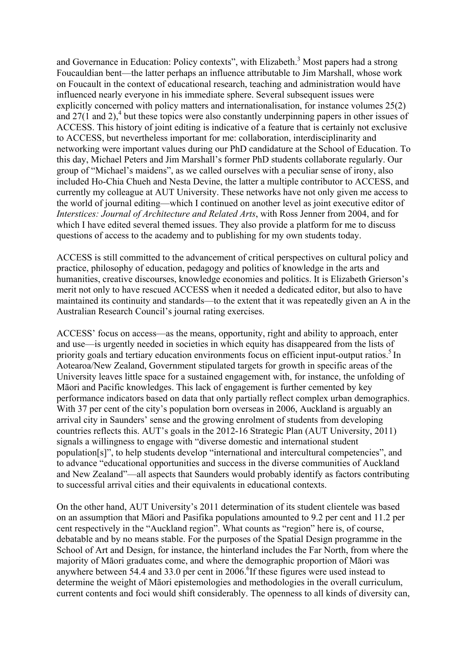and Governance in Education: Policy contexts", with Elizabeth.<sup>3</sup> Most papers had a strong Foucauldian bent—the latter perhaps an influence attributable to Jim Marshall, whose work on Foucault in the context of educational research, teaching and administration would have influenced nearly everyone in his immediate sphere. Several subsequent issues were explicitly concerned with policy matters and internationalisation, for instance volumes 25(2) and  $27(1 \text{ and } 2)$ ,<sup>4</sup> but these topics were also constantly underpinning papers in other issues of ACCESS. This history of joint editing is indicative of a feature that is certainly not exclusive to ACCESS, but nevertheless important for me: collaboration, interdisciplinarity and networking were important values during our PhD candidature at the School of Education. To this day, Michael Peters and Jim Marshall's former PhD students collaborate regularly. Our group of "Michael's maidens", as we called ourselves with a peculiar sense of irony, also included Ho-Chia Chueh and Nesta Devine, the latter a multiple contributor to ACCESS, and currently my colleague at AUT University. These networks have not only given me access to the world of journal editing—which I continued on another level as joint executive editor of *Interstices: Journal of Architecture and Related Arts*, with Ross Jenner from 2004, and for which I have edited several themed issues. They also provide a platform for me to discuss questions of access to the academy and to publishing for my own students today.

ACCESS is still committed to the advancement of critical perspectives on cultural policy and practice, philosophy of education, pedagogy and politics of knowledge in the arts and humanities, creative discourses, knowledge economies and politics. It is Elizabeth Grierson's merit not only to have rescued ACCESS when it needed a dedicated editor, but also to have maintained its continuity and standards—to the extent that it was repeatedly given an A in the Australian Research Council's journal rating exercises.

ACCESS' focus on access—as the means, opportunity, right and ability to approach, enter and use—is urgently needed in societies in which equity has disappeared from the lists of priority goals and tertiary education environments focus on efficient input-output ratios.<sup>5</sup> In Aotearoa/New Zealand, Government stipulated targets for growth in specific areas of the University leaves little space for a sustained engagement with, for instance, the unfolding of Māori and Pacific knowledges. This lack of engagement is further cemented by key performance indicators based on data that only partially reflect complex urban demographics. With 37 per cent of the city's population born overseas in 2006, Auckland is arguably an arrival city in Saunders' sense and the growing enrolment of students from developing countries reflects this. AUT's goals in the 2012-16 Strategic Plan (AUT University, 2011) signals a willingness to engage with "diverse domestic and international student population[s]", to help students develop "international and intercultural competencies", and to advance "educational opportunities and success in the diverse communities of Auckland and New Zealand"—all aspects that Saunders would probably identify as factors contributing to successful arrival cities and their equivalents in educational contexts.

On the other hand, AUT University's 2011 determination of its student clientele was based on an assumption that Māori and Pasifika populations amounted to 9.2 per cent and 11.2 per cent respectively in the "Auckland region". What counts as "region" here is, of course, debatable and by no means stable. For the purposes of the Spatial Design programme in the School of Art and Design, for instance, the hinterland includes the Far North, from where the majority of Māori graduates come, and where the demographic proportion of Māori was anywhere between 54.4 and 33.0 per cent in 2006.<sup>6</sup>If these figures were used instead to determine the weight of Māori epistemologies and methodologies in the overall curriculum, current contents and foci would shift considerably. The openness to all kinds of diversity can,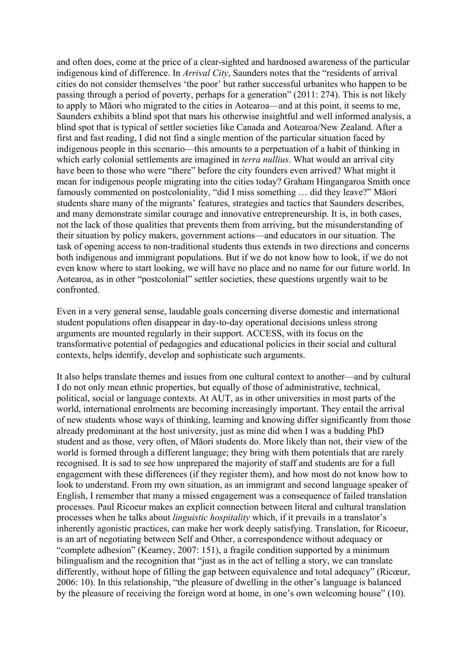and often does, come at the price of a clear-sighted and hardnosed awareness of the particular indigenous kind of difference. In *Arrival City*, Saunders notes that the "residents of arrival cities do not consider themselves 'the poor' but rather successful urbanites who happen to be passing through a period of poverty, perhaps for a generation" (2011: 274). This is not likely to apply to Māori who migrated to the cities in Aotearoa—and at this point, it seems to me, Saunders exhibits a blind spot that mars his otherwise insightful and well informed analysis, a blind spot that is typical of settler societies like Canada and Aotearoa/New Zealand. After a first and fast reading, I did not find a single mention of the particular situation faced by indigenous people in this scenario—this amounts to a perpetuation of a habit of thinking in which early colonial settlements are imagined in *terra nullius*. What would an arrival city have been to those who were "there" before the city founders even arrived? What might it mean for indigenous people migrating into the cities today? Graham Hingangaroa Smith once famously commented on postcoloniality, "did I miss something … did they leave?" Māori students share many of the migrants' features, strategies and tactics that Saunders describes, and many demonstrate similar courage and innovative entrepreneurship. It is, in both cases, not the lack of those qualities that prevents them from arriving, but the misunderstanding of their situation by policy makers, government actions—and educators in our situation. The task of opening access to non-traditional students thus extends in two directions and concerns both indigenous and immigrant populations. But if we do not know how to look, if we do not even know where to start looking, we will have no place and no name for our future world. In Aotearoa, as in other "postcolonial" settler societies, these questions urgently wait to be confronted.

Even in a very general sense, laudable goals concerning diverse domestic and international student populations often disappear in day-to-day operational decisions unless strong arguments are mounted regularly in their support. ACCESS, with its focus on the transformative potential of pedagogies and educational policies in their social and cultural contexts, helps identify, develop and sophisticate such arguments.

It also helps translate themes and issues from one cultural context to another—and by cultural I do not only mean ethnic properties, but equally of those of administrative, technical, political, social or language contexts. At AUT, as in other universities in most parts of the world, international enrolments are becoming increasingly important. They entail the arrival of new students whose ways of thinking, learning and knowing differ significantly from those already predominant at the host university, just as mine did when I was a budding PhD student and as those, very often, of Māori students do. More likely than not, their view of the world is formed through a different language; they bring with them potentials that are rarely recognised. It is sad to see how unprepared the majority of staff and students are for a full engagement with these differences (if they register them), and how most do not know how to look to understand. From my own situation, as an immigrant and second language speaker of English, I remember that many a missed engagement was a consequence of failed translation processes. Paul Ricoeur makes an explicit connection between literal and cultural translation processes when he talks about *linguistic hospitality* which, if it prevails in a translator's inherently agonistic practices, can make her work deeply satisfying. Translation, for Ricoeur, is an art of negotiating between Self and Other, a correspondence without adequacy or "complete adhesion" (Kearney, 2007: 151), a fragile condition supported by a minimum bilingualism and the recognition that "just as in the act of telling a story, we can translate differently, without hope of filling the gap between equivalence and total adequacy" (Ricœur, 2006: 10). In this relationship, "the pleasure of dwelling in the other's language is balanced by the pleasure of receiving the foreign word at home, in one's own welcoming house" (10).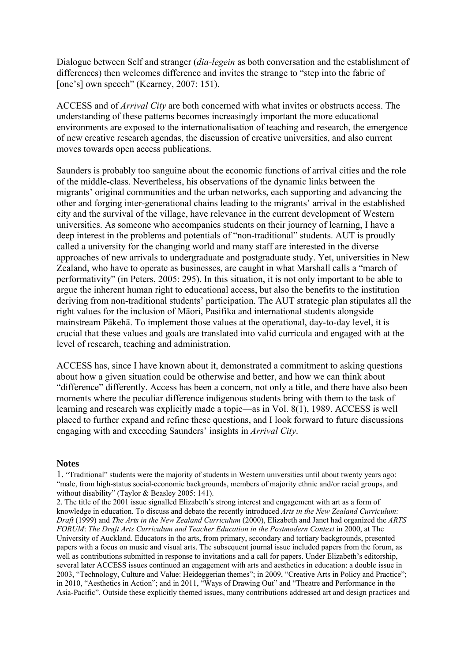Dialogue between Self and stranger (*dia-legein* as both conversation and the establishment of differences) then welcomes difference and invites the strange to "step into the fabric of [one's] own speech" (Kearney, 2007: 151).

ACCESS and of *Arrival City* are both concerned with what invites or obstructs access. The understanding of these patterns becomes increasingly important the more educational environments are exposed to the internationalisation of teaching and research, the emergence of new creative research agendas, the discussion of creative universities, and also current moves towards open access publications.

Saunders is probably too sanguine about the economic functions of arrival cities and the role of the middle-class. Nevertheless, his observations of the dynamic links between the migrants' original communities and the urban networks, each supporting and advancing the other and forging inter-generational chains leading to the migrants' arrival in the established city and the survival of the village, have relevance in the current development of Western universities. As someone who accompanies students on their journey of learning, I have a deep interest in the problems and potentials of "non-traditional" students. AUT is proudly called a university for the changing world and many staff are interested in the diverse approaches of new arrivals to undergraduate and postgraduate study. Yet, universities in New Zealand, who have to operate as businesses, are caught in what Marshall calls a "march of performativity" (in Peters, 2005: 295). In this situation, it is not only important to be able to argue the inherent human right to educational access, but also the benefits to the institution deriving from non-traditional students' participation. The AUT strategic plan stipulates all the right values for the inclusion of Māori, Pasifika and international students alongside mainstream Pākehā. To implement those values at the operational, day-to-day level, it is crucial that these values and goals are translated into valid curricula and engaged with at the level of research, teaching and administration.

ACCESS has, since I have known about it, demonstrated a commitment to asking questions about how a given situation could be otherwise and better, and how we can think about "difference" differently. Access has been a concern, not only a title, and there have also been moments where the peculiar difference indigenous students bring with them to the task of learning and research was explicitly made a topic—as in Vol. 8(1), 1989. ACCESS is well placed to further expand and refine these questions, and I look forward to future discussions engaging with and exceeding Saunders' insights in *Arrival City*.

## **Notes**

1. "Traditional" students were the majority of students in Western universities until about twenty years ago: "male, from high-status social-economic backgrounds, members of majority ethnic and/or racial groups, and without disability" (Taylor & Beasley 2005: 141).

2. The title of the 2001 issue signalled Elizabeth's strong interest and engagement with art as a form of knowledge in education. To discuss and debate the recently introduced *Arts in the New Zealand Curriculum: Draft* (1999) and *The Arts in the New Zealand Curriculum* (2000), Elizabeth and Janet had organized the *ARTS FORUM: The Draft Arts Curriculum and Teacher Education in the Postmodern Context in 2000, at The* University of Auckland. Educators in the arts, from primary, secondary and tertiary backgrounds, presented papers with a focus on music and visual arts. The subsequent journal issue included papers from the forum, as well as contributions submitted in response to invitations and a call for papers. Under Elizabeth's editorship, several later ACCESS issues continued an engagement with arts and aesthetics in education: a double issue in 2003, "Technology, Culture and Value: Heideggerian themes"; in 2009, "Creative Arts in Policy and Practice"; in 2010, "Aesthetics in Action"; and in 2011, "Ways of Drawing Out" and "Theatre and Performance in the Asia-Pacific". Outside these explicitly themed issues, many contributions addressed art and design practices and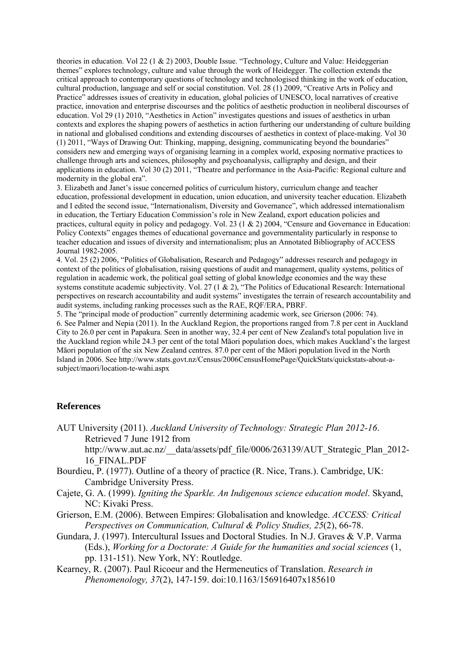theories in education. Vol 22 (1 & 2) 2003, Double Issue. "Technology, Culture and Value: Heideggerian themes" explores technology, culture and value through the work of Heidegger. The collection extends the critical approach to contemporary questions of technology and technologised thinking in the work of education, cultural production, language and self or social constitution. Vol. 28 (1) 2009, "Creative Arts in Policy and Practice" addresses issues of creativity in education, global policies of UNESCO, local narratives of creative practice, innovation and enterprise discourses and the politics of aesthetic production in neoliberal discourses of education. Vol 29 (1) 2010, "Aesthetics in Action" investigates questions and issues of aesthetics in urban contexts and explores the shaping powers of aesthetics in action furthering our understanding of culture building in national and globalised conditions and extending discourses of aesthetics in context of place-making. Vol 30 (1) 2011, "Ways of Drawing Out: Thinking, mapping, designing, communicating beyond the boundaries" considers new and emerging ways of organising learning in a complex world, exposing normative practices to challenge through arts and sciences, philosophy and psychoanalysis, calligraphy and design, and their applications in education. Vol 30 (2) 2011, "Theatre and performance in the Asia-Pacific: Regional culture and modernity in the global era".

3. Elizabeth and Janet's issue concerned politics of curriculum history, curriculum change and teacher education, professional development in education, union education, and university teacher education. Elizabeth and I edited the second issue, "Internationalism, Diversity and Governance", which addressed internationalism in education, the Tertiary Education Commission's role in New Zealand, export education policies and practices, cultural equity in policy and pedagogy. Vol. 23 (1 & 2) 2004, "Censure and Governance in Education: Policy Contexts" engages themes of educational governance and governmentality particularly in response to teacher education and issues of diversity and internationalism; plus an Annotated Bibliography of ACCESS Journal 1982-2005.

4. Vol. 25 (2) 2006, "Politics of Globalisation, Research and Pedagogy" addresses research and pedagogy in context of the politics of globalisation, raising questions of audit and management, quality systems, politics of regulation in academic work, the political goal setting of global knowledge economies and the way these systems constitute academic subjectivity. Vol. 27 (1 & 2), "The Politics of Educational Research: International perspectives on research accountability and audit systems" investigates the terrain of research accountability and audit systems, including ranking processes such as the RAE, RQF/ERA, PBRF.

5. The "principal mode of production" currently determining academic work, see Grierson (2006: 74). 6. See Palmer and Nepia (2011). In the Auckland Region, the proportions ranged from 7.8 per cent in Auckland City to 26.0 per cent in Papakura. Seen in another way, 32.4 per cent of New Zealand's total population live in the Auckland region while 24.3 per cent of the total Māori population does, which makes Auckland's the largest Māori population of the six New Zealand centres. 87.0 per cent of the Māori population lived in the North Island in 2006. See http://www.stats.govt.nz/Census/2006CensusHomePage/QuickStats/quickstats-about-asubject/maori/location-te-wahi.aspx

## **References**

AUT University (2011). *Auckland University of Technology: Strategic Plan 2012-16*. Retrieved 7 June 1912 from http://www.aut.ac.nz/\_\_data/assets/pdf\_file/0006/263139/AUT\_Strategic\_Plan\_2012- 16\_FINAL.PDF

- Bourdieu, P. (1977). Outline of a theory of practice (R. Nice, Trans.). Cambridge, UK: Cambridge University Press.
- Cajete, G. A. (1999). *Igniting the Sparkle. An Indigenous science education model*. Skyand, NC: Kivaki Press.
- Grierson, E.M. (2006). Between Empires: Globalisation and knowledge. *ACCESS: Critical Perspectives on Communication, Cultural & Policy Studies, 25*(2), 66-78.
- Gundara, J. (1997). Intercultural Issues and Doctoral Studies. In N.J. Graves & V.P. Varma (Eds.), *Working for a Doctorate: A Guide for the humanities and social sciences* (1, pp. 131-151). New York, NY: Routledge.
- Kearney, R. (2007). Paul Ricoeur and the Hermeneutics of Translation. *Research in Phenomenology, 37*(2), 147-159. doi:10.1163/156916407x185610